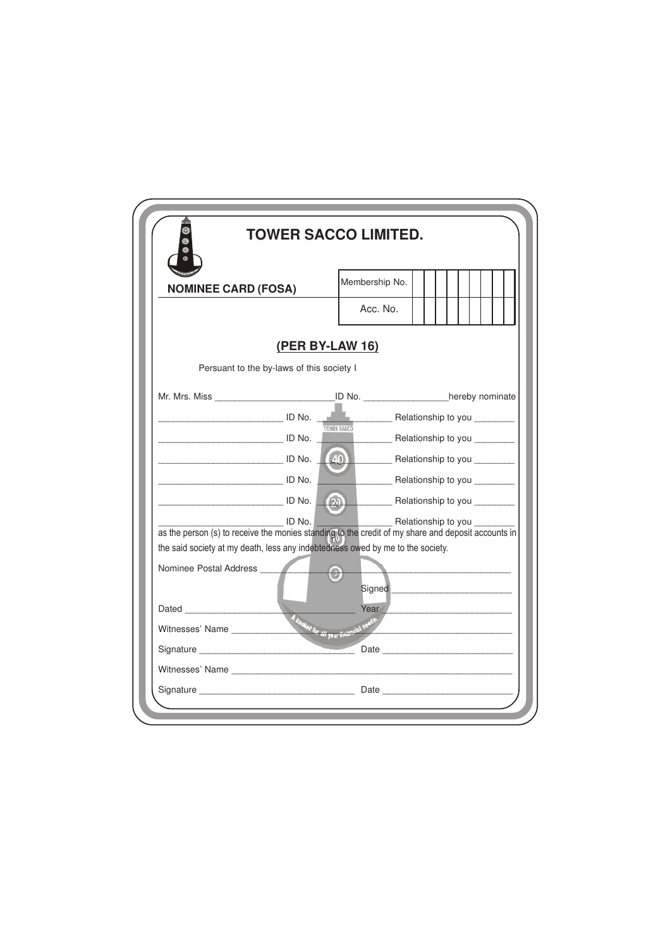|                                                                                                                                                                                      | <b>TOWER SACCO LIMITED.</b>                                                                                                                                                                                                    |                                                   |                                                                                                                                                                                                                                |  |  |  |  |  |  |  |  |  |
|--------------------------------------------------------------------------------------------------------------------------------------------------------------------------------------|--------------------------------------------------------------------------------------------------------------------------------------------------------------------------------------------------------------------------------|---------------------------------------------------|--------------------------------------------------------------------------------------------------------------------------------------------------------------------------------------------------------------------------------|--|--|--|--|--|--|--|--|--|
| <b>NOMINEE CARD (FOSA)</b>                                                                                                                                                           |                                                                                                                                                                                                                                | Membership No.                                    |                                                                                                                                                                                                                                |  |  |  |  |  |  |  |  |  |
|                                                                                                                                                                                      |                                                                                                                                                                                                                                | Acc. No.                                          |                                                                                                                                                                                                                                |  |  |  |  |  |  |  |  |  |
|                                                                                                                                                                                      | (PER BY-LAW 16)                                                                                                                                                                                                                |                                                   |                                                                                                                                                                                                                                |  |  |  |  |  |  |  |  |  |
|                                                                                                                                                                                      | Persuant to the by-laws of this society I                                                                                                                                                                                      |                                                   |                                                                                                                                                                                                                                |  |  |  |  |  |  |  |  |  |
| Mr. Mrs. Miss ________________________________ID No. ___________________hereby nominate                                                                                              |                                                                                                                                                                                                                                |                                                   |                                                                                                                                                                                                                                |  |  |  |  |  |  |  |  |  |
|                                                                                                                                                                                      | Letter Letter and Telecommunication in the U.S. of the U.S. of the U.S. of the U.S. of the U.S. of the U.S. of the U.S. of the U.S. of the U.S. of the U.S. of the U.S. of the U.S. of the U.S. of the U.S. of the U.S. of the |                                                   |                                                                                                                                                                                                                                |  |  |  |  |  |  |  |  |  |
|                                                                                                                                                                                      |                                                                                                                                                                                                                                | <b>ONER SACCO</b><br>Relationship to you ________ |                                                                                                                                                                                                                                |  |  |  |  |  |  |  |  |  |
| ID No. (40) Relationship to you _______                                                                                                                                              |                                                                                                                                                                                                                                |                                                   |                                                                                                                                                                                                                                |  |  |  |  |  |  |  |  |  |
| <u> ID No.</u>                                                                                                                                                                       |                                                                                                                                                                                                                                | Relationship to you _________                     |                                                                                                                                                                                                                                |  |  |  |  |  |  |  |  |  |
|                                                                                                                                                                                      |                                                                                                                                                                                                                                |                                                   |                                                                                                                                                                                                                                |  |  |  |  |  |  |  |  |  |
|                                                                                                                                                                                      | $\Box$ ID No.                                                                                                                                                                                                                  |                                                   | Relationship to you _________                                                                                                                                                                                                  |  |  |  |  |  |  |  |  |  |
| as the person (s) to receive the monies standing to the credit of my share and deposit accounts in<br>the said society at my death, less any indebtedness owed by me to the society. |                                                                                                                                                                                                                                |                                                   |                                                                                                                                                                                                                                |  |  |  |  |  |  |  |  |  |
| Nominee Postal Address                                                                                                                                                               |                                                                                                                                                                                                                                |                                                   |                                                                                                                                                                                                                                |  |  |  |  |  |  |  |  |  |
|                                                                                                                                                                                      |                                                                                                                                                                                                                                |                                                   | Signed Signed Signed Signed Signed Signed Signed Signed Signed Signed Signed Signed Signed Signed Signed Signed Signed Signed Signed Signed Signed Signed Signed Signed Signed Signed Signed Signed Signed Signed Signed Signe |  |  |  |  |  |  |  |  |  |
|                                                                                                                                                                                      |                                                                                                                                                                                                                                | Year                                              |                                                                                                                                                                                                                                |  |  |  |  |  |  |  |  |  |
| Witnesses' Name                                                                                                                                                                      | A hasket for all your first                                                                                                                                                                                                    |                                                   |                                                                                                                                                                                                                                |  |  |  |  |  |  |  |  |  |
|                                                                                                                                                                                      |                                                                                                                                                                                                                                |                                                   |                                                                                                                                                                                                                                |  |  |  |  |  |  |  |  |  |
|                                                                                                                                                                                      |                                                                                                                                                                                                                                |                                                   |                                                                                                                                                                                                                                |  |  |  |  |  |  |  |  |  |
|                                                                                                                                                                                      |                                                                                                                                                                                                                                |                                                   |                                                                                                                                                                                                                                |  |  |  |  |  |  |  |  |  |